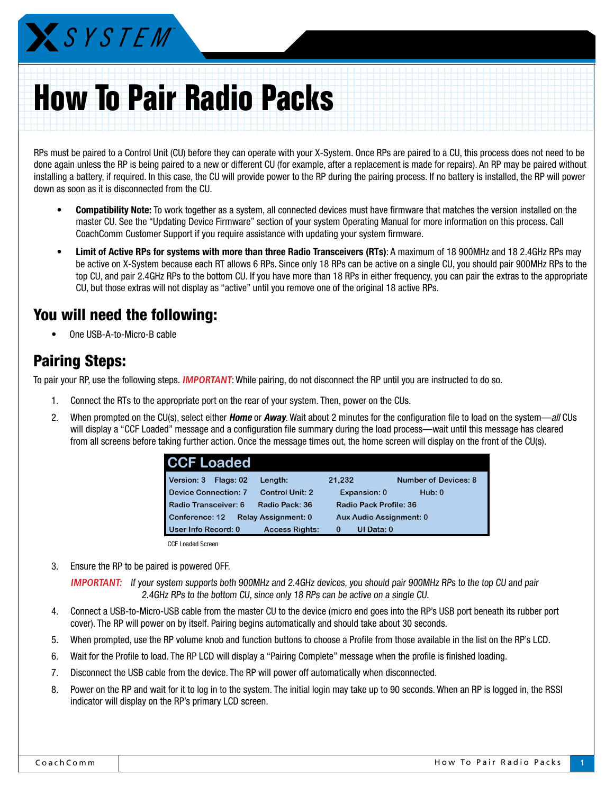## **How To Pair Radio Packs**

RPs must be paired to a Control Unit (CU) before they can operate with your X-System. Once RPs are paired to a CU, this process does not need to be done again unless the RP is being paired to a new or different CU (for example, after a replacement is made for repairs). An RP may be paired without installing a battery, if required. In this case, the CU will provide power to the RP during the pairing process. If no battery is installed, the RP will power down as soon as it is disconnected from the CU.

- Compatibility Note: To work together as a system, all connected devices must have firmware that matches the version installed on the master CU. See the "Updating Device Firmware" section of your system Operating Manual for more information on this process. Call CoachComm Customer Support if you require assistance with updating your system firmware.
- Limit of Active RPs for systems with more than three Radio Transceivers (RTs): A maximum of 18 900MHz and 18 2.4GHz RPs may be active on X-System because each RT allows 6 RPs. Since only 18 RPs can be active on a single CU, you should pair 900MHz RPs to the top CU, and pair 2.4GHz RPs to the bottom CU. If you have more than 18 RPs in either frequency, you can pair the extras to the appropriate CU, but those extras will not display as "active" until you remove one of the original 18 active RPs.

## You will need the following:

• One USB-A-to-Micro-B cable

XSYSTEM

## Pairing Steps:

To pair your RP, use the following steps. **IMPORTANT**: While pairing, do not disconnect the RP until you are instructed to do so.

- 1. Connect the RTs to the appropriate port on the rear of your system. Then, power on the CUs.
- 2. When prompted on the CU(s), select either Home or Away. Wait about 2 minutes for the configuration file to load on the system—*all* CUs will display a "CCF Loaded" message and a configuration file summary during the load process—wait until this message has cleared from all screens before taking further action. Once the message times out, the home screen will display on the front of the CU(s).

| <b>CCF Loaded</b>           |                        |                                |                             |
|-----------------------------|------------------------|--------------------------------|-----------------------------|
| Version: 3<br>Flags: 02     | Length:                | 21,232                         | <b>Number of Devices: 8</b> |
| <b>Device Connection: 7</b> | <b>Control Unit: 2</b> | Expansion: 0                   | Hub: 0                      |
| Radio Transceiver: 6        | Radio Pack: 36         | Radio Pack Profile: 36         |                             |
| Conference: 12              | Relay Assignment: 0    | <b>Aux Audio Assignment: 0</b> |                             |
| User Info Record: 0         | <b>Access Rights:</b>  | UI Data: 0<br>0                |                             |

CCF Loaded Screen

3. Ensure the RP to be paired is powered OFF.

**IMPORTANT:** If your system supports both 900MHz and 2.4GHz devices, you should pair 900MHz RPs to the top CU and pair 2.4GHz RPs to the bottom CU, since only 18 RPs can be active on a single CU.

- 4. Connect a USB-to-Micro-USB cable from the master CU to the device (micro end goes into the RP's USB port beneath its rubber port cover). The RP will power on by itself. Pairing begins automatically and should take about 30 seconds.
- 5. When prompted, use the RP volume knob and function buttons to choose a Profile from those available in the list on the RP's LCD.
- 6. Wait for the Profile to load. The RP LCD will display a "Pairing Complete" message when the profile is finished loading.
- 7. Disconnect the USB cable from the device. The RP will power off automatically when disconnected.
- 8. Power on the RP and wait for it to log in to the system. The initial login may take up to 90 seconds. When an RP is logged in, the RSSI indicator will display on the RP's primary LCD screen.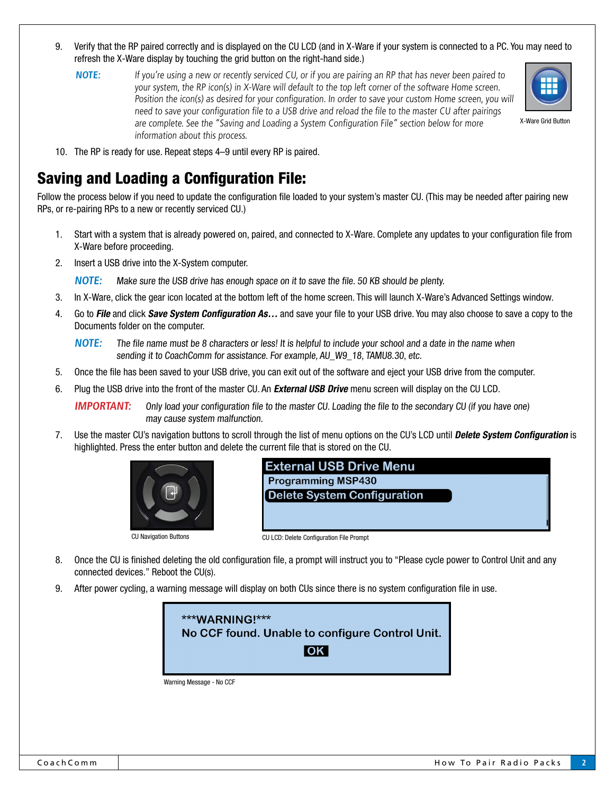- 9. Verify that the RP paired correctly and is displayed on the CU LCD (and in X-Ware if your system is connected to a PC. You may need to refresh the X-Ware display by touching the grid button on the right-hand side.)
	- **NOTE:** If you're using a new or recently serviced CU, or if you are pairing an RP that has never been paired to your system, the RP icon(s) in X-Ware will default to the top left corner of the software Home screen. Position the icon(s) as desired for your configuration. In order to save your custom Home screen, you will need to save your configuration file to a USB drive and reload the file to the master CU after pairings are complete. See the "Saving and Loading a System Configuration File" section below for more information about this process.



X-Ware Grid Button

10. The RP is ready for use. Repeat steps 4–9 until every RP is paired.

## Saving and Loading a Configuration File:

Follow the process below if you need to update the configuration file loaded to your system's master CU. (This may be needed after pairing new RPs, or re-pairing RPs to a new or recently serviced CU.)

- 1. Start with a system that is already powered on, paired, and connected to X-Ware. Complete any updates to your configuration file from X-Ware before proceeding.
- 2. Insert a USB drive into the X-System computer.
	- **NOTE:** Make sure the USB drive has enough space on it to save the file. 50 KB should be plenty.
- 3. In X-Ware, click the gear icon located at the bottom left of the home screen. This will launch X-Ware's Advanced Settings window.
- 4. Go to File and click Save System Configuration As... and save your file to your USB drive. You may also choose to save a copy to the Documents folder on the computer.
	- **NOTE:** The file name must be 8 characters or less! It is helpful to include your school and a date in the name when sending it to CoachComm for assistance. For example, AU\_W9\_18, TAMU8.30, etc.
- 5. Once the file has been saved to your USB drive, you can exit out of the software and eject your USB drive from the computer.
- 6. Plug the USB drive into the front of the master CU. An **External USB Drive** menu screen will display on the CU LCD.

**IMPORTANT:** Only load your configuration file to the master CU. Loading the file to the secondary CU (if you have one) may cause system malfunction.

7. Use the master CU's navigation buttons to scroll through the list of menu options on the CU's LCD until Delete System Configuration is highlighted. Press the enter button and delete the current file that is stored on the CU.



| <b>External USB Drive Menu</b> |  |
|--------------------------------|--|
| <b>Programming MSP430</b>      |  |
| Delete System Configuration    |  |
|                                |  |
|                                |  |

CU Navigation Buttons CU LCD: Delete Configuration File Prompt

- 8. Once the CU is finished deleting the old configuration file, a prompt will instruct you to "Please cycle power to Control Unit and any connected devices." Reboot the CU(s).
- 9. After power cycling, a warning message will display on both CUs since there is no system configuration file in use.

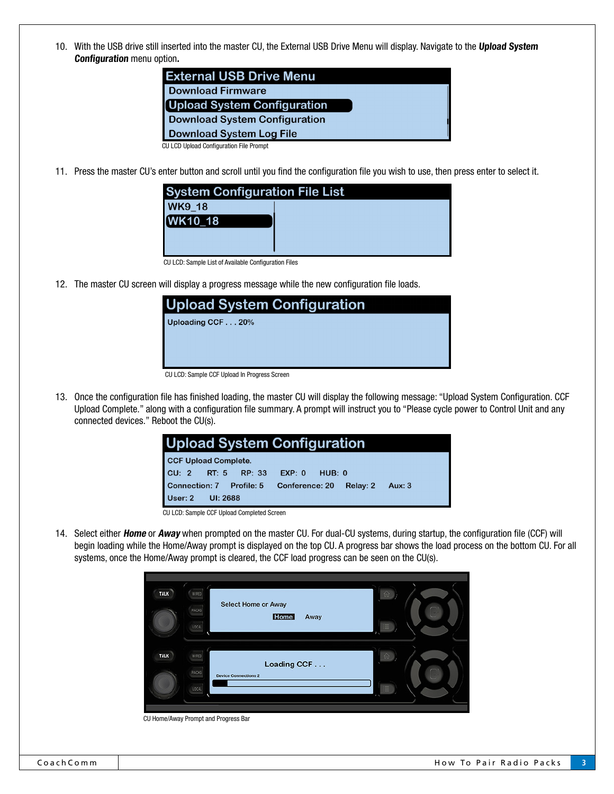10. With the USB drive still inserted into the master CU, the External USB Drive Menu will display. Navigate to the Upload System Configuration menu option.

| <b>External USB Drive Menu</b>                 |
|------------------------------------------------|
| <b>Download Firmware</b>                       |
| <b>Upload System Configuration</b>             |
| <b>Download System Configuration</b>           |
| <b>Download System Log File</b>                |
| <b>CU LCD Upload Configuration File Prompt</b> |

11. Press the master CU's enter button and scroll until you find the configuration file you wish to use, then press enter to select it.

| <b>System Configuration File List</b> |  |
|---------------------------------------|--|
| <b>WK9_18</b>                         |  |
| <b>WK10_18</b>                        |  |
|                                       |  |
|                                       |  |

CU LCD: Sample List of Available Configuration Files

12. The master CU screen will display a progress message while the new configuration file loads.

| <b>Upload System Configuration</b>           |  |
|----------------------------------------------|--|
| Uploading CCF $\ldots$ 20%                   |  |
|                                              |  |
|                                              |  |
| CULLOD: Comple CCE Upload in Drogrape Coroon |  |

CU LCD: Sample CCF Upload In Progress Screen

13. Once the configuration file has finished loading, the master CU will display the following message: "Upload System Configuration. CCF Upload Complete." along with a configuration file summary. A prompt will instruct you to "Please cycle power to Control Unit and any connected devices." Reboot the CU(s).

| <b>Upload System Configuration</b>                      |  |
|---------------------------------------------------------|--|
| <b>CCF Upload Complete.</b>                             |  |
| CU: 2 RT: 5 RP: 33 EXP: 0 HUB: 0                        |  |
| Connection: 7 Profile: 5 Conference: 20 Relay: 2 Aux: 3 |  |
| User: 2 UI: 2688                                        |  |

CU LCD: Sample CCF Upload Completed Screen

14. Select either **Home** or Away when prompted on the master CU. For dual-CU systems, during startup, the configuration file (CCF) will begin loading while the Home/Away prompt is displayed on the top CU. A progress bar shows the load process on the bottom CU. For all systems, once the Home/Away prompt is cleared, the CCF load progress can be seen on the CU(s).

| <b>TALK</b> | WIRED<br><b>Select Home or Away</b><br>PACKS<br>Home<br>Away<br>LOCAL | $\Omega$ |
|-------------|-----------------------------------------------------------------------|----------|
| <b>TALK</b> | WIRED<br>Loading CCF<br>PACKS<br><b>Device Connections 2</b><br>LOCAL | 命<br>. . |

CU Home/Away Prompt and Progress Bar